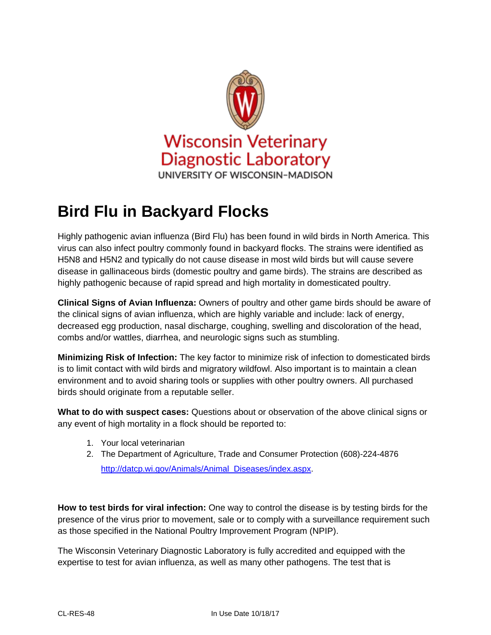

## **Bird Flu in Backyard Flocks**

Highly pathogenic avian influenza (Bird Flu) has been found in wild birds in North America. This virus can also infect poultry commonly found in backyard flocks. The strains were identified as H5N8 and H5N2 and typically do not cause disease in most wild birds but will cause severe disease in gallinaceous birds (domestic poultry and game birds). The strains are described as highly pathogenic because of rapid spread and high mortality in domesticated poultry.

**Clinical Signs of Avian Influenza:** Owners of poultry and other game birds should be aware of the clinical signs of avian influenza, which are highly variable and include: lack of energy, decreased egg production, nasal discharge, coughing, swelling and discoloration of the head, combs and/or wattles, diarrhea, and neurologic signs such as stumbling.

**Minimizing Risk of Infection:** The key factor to minimize risk of infection to domesticated birds is to limit contact with wild birds and migratory wildfowl. Also important is to maintain a clean environment and to avoid sharing tools or supplies with other poultry owners. All purchased birds should originate from a reputable seller.

**What to do with suspect cases:** Questions about or observation of the above clinical signs or any event of high mortality in a flock should be reported to:

- 1. Your local veterinarian
- 2. The Department of Agriculture, Trade and Consumer Protection (608)-224-4876 [http://datcp.wi.gov/Animals/Animal\\_Diseases/index.aspx.](http://datcp.wi.gov/Animals/Animal_Diseases/index.aspx)

**How to test birds for viral infection:** One way to control the disease is by testing birds for the presence of the virus prior to movement, sale or to comply with a surveillance requirement such as those specified in the National Poultry Improvement Program (NPIP).

The Wisconsin Veterinary Diagnostic Laboratory is fully accredited and equipped with the expertise to test for avian influenza, as well as many other pathogens. The test that is